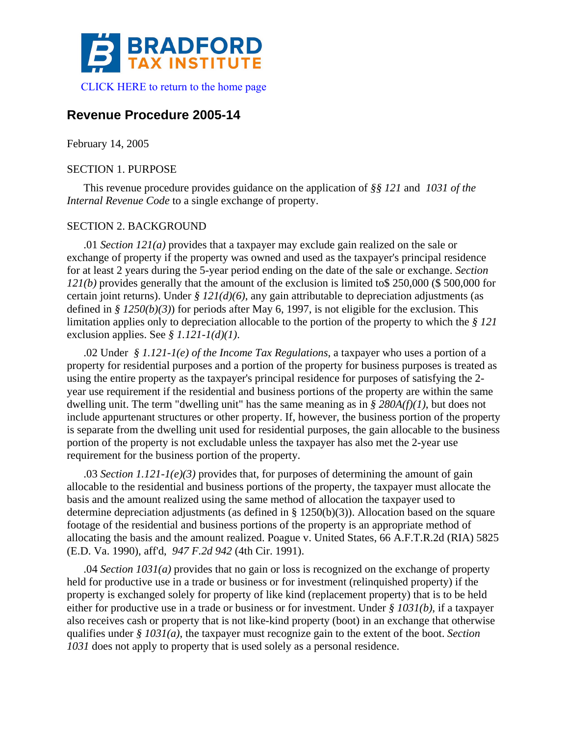

# **Revenue Procedure 2005-14**

February 14, 2005

### SECTION 1. PURPOSE

This revenue procedure provides guidance on the application of *§§ 121* and *1031 of the Internal Revenue Code* to a single exchange of property.

## SECTION 2. BACKGROUND

.01 *Section 121(a)* provides that a taxpayer may exclude gain realized on the sale or exchange of property if the property was owned and used as the taxpayer's principal residence for at least 2 years during the 5-year period ending on the date of the sale or exchange. *Section 121(b)* provides generally that the amount of the exclusion is limited to\$ 250,000 (\$ 500,000 for certain joint returns). Under *§ 121(d)(6)*, any gain attributable to depreciation adjustments (as defined in *§ 1250(b)(3)*) for periods after May 6, 1997, is not eligible for the exclusion. This limitation applies only to depreciation allocable to the portion of the property to which the *§ 121* exclusion applies. See *§ 1.121-1(d)(1)*.

.02 Under *§ 1.121-1(e) of the Income Tax Regulations*, a taxpayer who uses a portion of a property for residential purposes and a portion of the property for business purposes is treated as using the entire property as the taxpayer's principal residence for purposes of satisfying the 2 year use requirement if the residential and business portions of the property are within the same dwelling unit. The term "dwelling unit" has the same meaning as in *§ 280A(f)(1)*, but does not include appurtenant structures or other property. If, however, the business portion of the property is separate from the dwelling unit used for residential purposes, the gain allocable to the business portion of the property is not excludable unless the taxpayer has also met the 2-year use requirement for the business portion of the property.

.03 *Section 1.121-1(e)(3)* provides that, for purposes of determining the amount of gain allocable to the residential and business portions of the property, the taxpayer must allocate the basis and the amount realized using the same method of allocation the taxpayer used to determine depreciation adjustments (as defined in § 1250(b)(3)). Allocation based on the square footage of the residential and business portions of the property is an appropriate method of allocating the basis and the amount realized. Poague v. United States, 66 A.F.T.R.2d (RIA) 5825 (E.D. Va. 1990), aff'd, *947 F.2d 942* (4th Cir. 1991).

.04 *Section 1031(a)* provides that no gain or loss is recognized on the exchange of property held for productive use in a trade or business or for investment (relinquished property) if the property is exchanged solely for property of like kind (replacement property) that is to be held either for productive use in a trade or business or for investment. Under *§ 1031(b)*, if a taxpayer also receives cash or property that is not like-kind property (boot) in an exchange that otherwise qualifies under *§ 1031(a)*, the taxpayer must recognize gain to the extent of the boot. *Section 1031* does not apply to property that is used solely as a personal residence.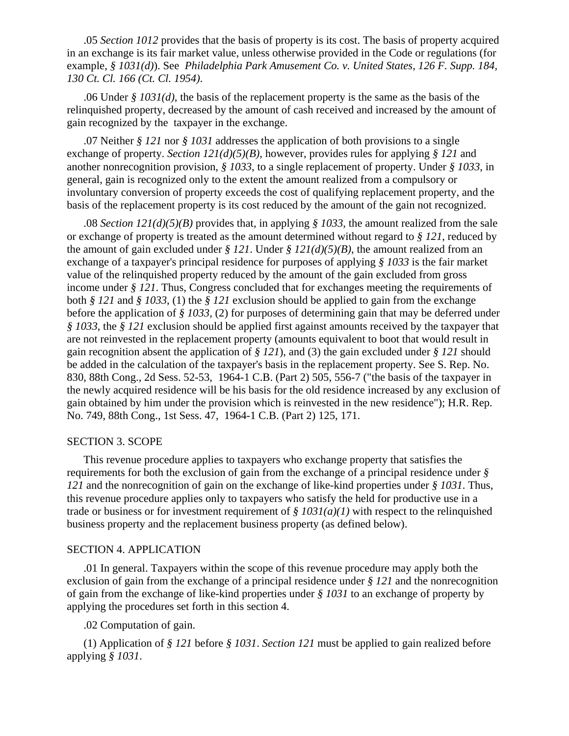.05 *Section 1012* provides that the basis of property is its cost. The basis of property acquired in an exchange is its fair market value, unless otherwise provided in the Code or regulations (for example, *§ 1031(d)*). See *Philadelphia Park Amusement Co. v. United States, 126 F. Supp. 184, 130 Ct. Cl. 166 (Ct. Cl. 1954)*.

.06 Under *§ 1031(d)*, the basis of the replacement property is the same as the basis of the relinquished property, decreased by the amount of cash received and increased by the amount of gain recognized by the taxpayer in the exchange.

.07 Neither *§ 121* nor *§ 1031* addresses the application of both provisions to a single exchange of property. *Section 121(d)(5)(B)*, however, provides rules for applying *§ 121* and another nonrecognition provision, *§ 1033*, to a single replacement of property. Under *§ 1033*, in general, gain is recognized only to the extent the amount realized from a compulsory or involuntary conversion of property exceeds the cost of qualifying replacement property, and the basis of the replacement property is its cost reduced by the amount of the gain not recognized.

.08 *Section 121(d)(5)(B)* provides that, in applying *§ 1033*, the amount realized from the sale or exchange of property is treated as the amount determined without regard to *§ 121*, reduced by the amount of gain excluded under  $\frac{g}{21}$ . Under  $\frac{g}{21}$   $\frac{d}{f}$  $\frac{f}{f}$ , the amount realized from an exchange of a taxpayer's principal residence for purposes of applying *§ 1033* is the fair market value of the relinquished property reduced by the amount of the gain excluded from gross income under *§ 121*. Thus, Congress concluded that for exchanges meeting the requirements of both *§ 121* and *§ 1033*, (1) the *§ 121* exclusion should be applied to gain from the exchange before the application of *§ 1033*, (2) for purposes of determining gain that may be deferred under *§ 1033*, the *§ 121* exclusion should be applied first against amounts received by the taxpayer that are not reinvested in the replacement property (amounts equivalent to boot that would result in gain recognition absent the application of *§ 121*), and (3) the gain excluded under *§ 121* should be added in the calculation of the taxpayer's basis in the replacement property. See S. Rep. No. 830, 88th Cong., 2d Sess. 52-53, 1964-1 C.B. (Part 2) 505, 556-7 ("the basis of the taxpayer in the newly acquired residence will be his basis for the old residence increased by any exclusion of gain obtained by him under the provision which is reinvested in the new residence"); H.R. Rep. No. 749, 88th Cong., 1st Sess. 47, 1964-1 C.B. (Part 2) 125, 171.

#### SECTION 3. SCOPE

This revenue procedure applies to taxpayers who exchange property that satisfies the requirements for both the exclusion of gain from the exchange of a principal residence under *§ 121* and the nonrecognition of gain on the exchange of like-kind properties under *§ 1031*. Thus, this revenue procedure applies only to taxpayers who satisfy the held for productive use in a trade or business or for investment requirement of *§ 1031(a)(1)* with respect to the relinquished business property and the replacement business property (as defined below).

#### SECTION 4. APPLICATION

.01 In general. Taxpayers within the scope of this revenue procedure may apply both the exclusion of gain from the exchange of a principal residence under *§ 121* and the nonrecognition of gain from the exchange of like-kind properties under *§ 1031* to an exchange of property by applying the procedures set forth in this section 4.

.02 Computation of gain.

(1) Application of *§ 121* before *§ 1031*. *Section 121* must be applied to gain realized before applying *§ 1031*.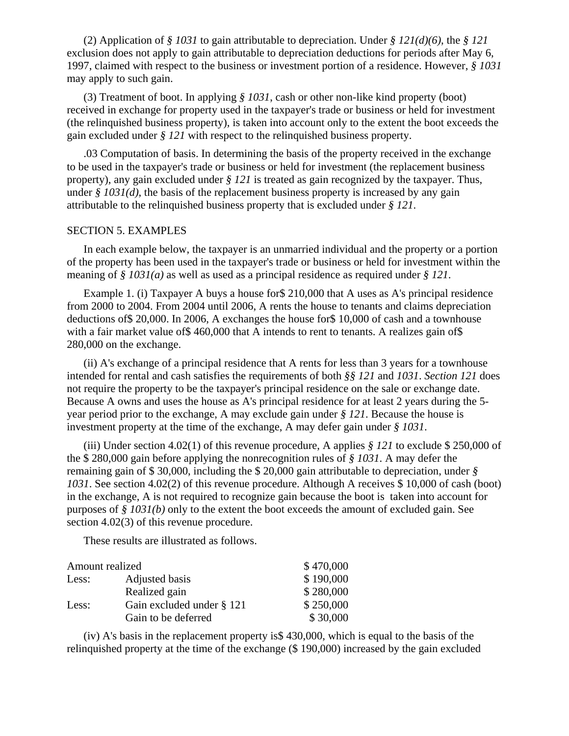(2) Application of *§ 1031* to gain attributable to depreciation. Under *§ 121(d)(6)*, the *§ 121* exclusion does not apply to gain attributable to depreciation deductions for periods after May 6, 1997, claimed with respect to the business or investment portion of a residence. However, *§ 1031* may apply to such gain.

(3) Treatment of boot. In applying *§ 1031*, cash or other non-like kind property (boot) received in exchange for property used in the taxpayer's trade or business or held for investment (the relinquished business property), is taken into account only to the extent the boot exceeds the gain excluded under *§ 121* with respect to the relinquished business property.

.03 Computation of basis. In determining the basis of the property received in the exchange to be used in the taxpayer's trade or business or held for investment (the replacement business property), any gain excluded under *§ 121* is treated as gain recognized by the taxpayer. Thus, under *§ 1031(d)*, the basis of the replacement business property is increased by any gain attributable to the relinquished business property that is excluded under *§ 121*.

## SECTION 5. EXAMPLES

In each example below, the taxpayer is an unmarried individual and the property or a portion of the property has been used in the taxpayer's trade or business or held for investment within the meaning of *§ 1031(a)* as well as used as a principal residence as required under *§ 121*.

Example 1. (i) Taxpayer A buys a house for\$ 210,000 that A uses as A's principal residence from 2000 to 2004. From 2004 until 2006, A rents the house to tenants and claims depreciation deductions of\$ 20,000. In 2006, A exchanges the house for\$ 10,000 of cash and a townhouse with a fair market value of \$460,000 that A intends to rent to tenants. A realizes gain of \$ 280,000 on the exchange.

(ii) A's exchange of a principal residence that A rents for less than 3 years for a townhouse intended for rental and cash satisfies the requirements of both *§§ 121* and *1031*. *Section 121* does not require the property to be the taxpayer's principal residence on the sale or exchange date. Because A owns and uses the house as A's principal residence for at least 2 years during the 5 year period prior to the exchange, A may exclude gain under *§ 121*. Because the house is investment property at the time of the exchange, A may defer gain under *§ 1031*.

(iii) Under section 4.02(1) of this revenue procedure, A applies *§ 121* to exclude \$ 250,000 of the \$ 280,000 gain before applying the nonrecognition rules of *§ 1031*. A may defer the remaining gain of \$ 30,000, including the \$ 20,000 gain attributable to depreciation, under *§ 1031*. See section 4.02(2) of this revenue procedure. Although A receives \$ 10,000 of cash (boot) in the exchange, A is not required to recognize gain because the boot is taken into account for purposes of *§ 1031(b)* only to the extent the boot exceeds the amount of excluded gain. See section 4.02(3) of this revenue procedure.

These results are illustrated as follows.

| Amount realized |                           | \$470,000 |
|-----------------|---------------------------|-----------|
| Less:           | Adjusted basis            | \$190,000 |
|                 | Realized gain             | \$280,000 |
| Less:           | Gain excluded under § 121 | \$250,000 |
|                 | Gain to be deferred       | \$30,000  |

(iv) A's basis in the replacement property is\$ 430,000, which is equal to the basis of the relinquished property at the time of the exchange (\$ 190,000) increased by the gain excluded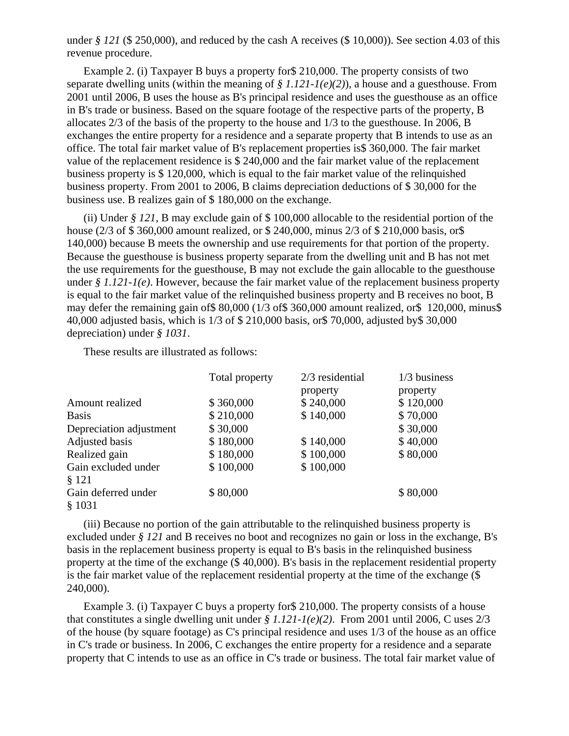under *§ 121* (\$ 250,000), and reduced by the cash A receives (\$ 10,000)). See section 4.03 of this revenue procedure.

Example 2. (i) Taxpayer B buys a property for\$ 210,000. The property consists of two separate dwelling units (within the meaning of *§ 1.121-1(e)(2)*), a house and a guesthouse. From 2001 until 2006, B uses the house as B's principal residence and uses the guesthouse as an office in B's trade or business. Based on the square footage of the respective parts of the property, B allocates 2/3 of the basis of the property to the house and 1/3 to the guesthouse. In 2006, B exchanges the entire property for a residence and a separate property that B intends to use as an office. The total fair market value of B's replacement properties is\$ 360,000. The fair market value of the replacement residence is \$ 240,000 and the fair market value of the replacement business property is \$ 120,000, which is equal to the fair market value of the relinquished business property. From 2001 to 2006, B claims depreciation deductions of \$ 30,000 for the business use. B realizes gain of \$ 180,000 on the exchange.

(ii) Under *§ 121*, B may exclude gain of \$ 100,000 allocable to the residential portion of the house (2/3 of \$ 360,000 amount realized, or \$ 240,000, minus 2/3 of \$ 210,000 basis, or \$ 140,000) because B meets the ownership and use requirements for that portion of the property. Because the guesthouse is business property separate from the dwelling unit and B has not met the use requirements for the guesthouse, B may not exclude the gain allocable to the guesthouse under *§ 1.121-1(e)*. However, because the fair market value of the replacement business property is equal to the fair market value of the relinquished business property and B receives no boot, B may defer the remaining gain of\$ 80,000 (1/3 of\$ 360,000 amount realized, or\$ 120,000, minus\$ 40,000 adjusted basis, which is 1/3 of \$ 210,000 basis, or\$ 70,000, adjusted by\$ 30,000 depreciation) under *§ 1031*.

These results are illustrated as follows:

|                         | Total property | $2/3$ residential | 1/3 business |
|-------------------------|----------------|-------------------|--------------|
|                         |                | property          | property     |
| Amount realized         | \$360,000      | \$240,000         | \$120,000    |
| <b>Basis</b>            | \$210,000      | \$140,000         | \$70,000     |
| Depreciation adjustment | \$30,000       |                   | \$30,000     |
| Adjusted basis          | \$180,000      | \$140,000         | \$40,000     |
| Realized gain           | \$180,000      | \$100,000         | \$80,000     |
| Gain excluded under     | \$100,000      | \$100,000         |              |
| § 121                   |                |                   |              |
| Gain deferred under     | \$80,000       |                   | \$80,000     |
| \$1031                  |                |                   |              |

(iii) Because no portion of the gain attributable to the relinquished business property is excluded under *§ 121* and B receives no boot and recognizes no gain or loss in the exchange, B's basis in the replacement business property is equal to B's basis in the relinquished business property at the time of the exchange (\$ 40,000). B's basis in the replacement residential property is the fair market value of the replacement residential property at the time of the exchange (\$ 240,000).

Example 3. (i) Taxpayer C buys a property for\$ 210,000. The property consists of a house that constitutes a single dwelling unit under *§ 1.121-1(e)(2)*. From 2001 until 2006, C uses 2/3 of the house (by square footage) as C's principal residence and uses 1/3 of the house as an office in C's trade or business. In 2006, C exchanges the entire property for a residence and a separate property that C intends to use as an office in C's trade or business. The total fair market value of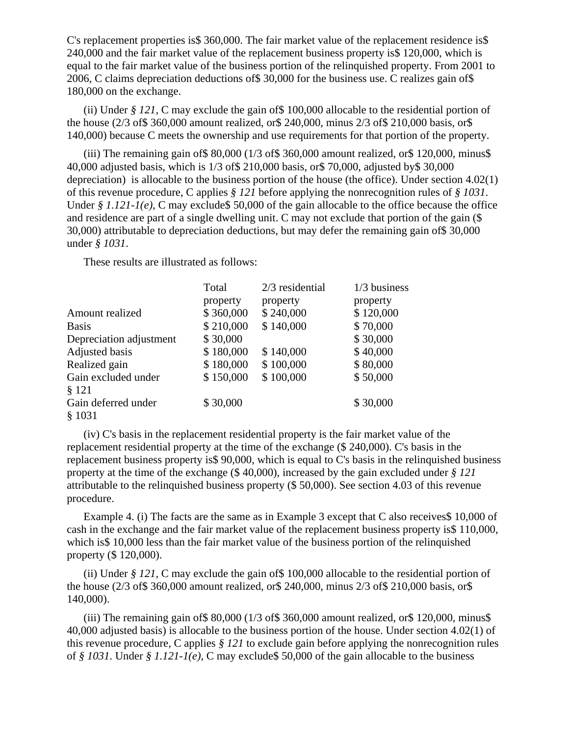C's replacement properties is\$ 360,000. The fair market value of the replacement residence is\$ 240,000 and the fair market value of the replacement business property is\$ 120,000, which is equal to the fair market value of the business portion of the relinquished property. From 2001 to 2006, C claims depreciation deductions of\$ 30,000 for the business use. C realizes gain of\$ 180,000 on the exchange.

(ii) Under *§ 121*, C may exclude the gain of\$ 100,000 allocable to the residential portion of the house (2/3 of\$ 360,000 amount realized, or\$ 240,000, minus 2/3 of\$ 210,000 basis, or\$ 140,000) because C meets the ownership and use requirements for that portion of the property.

(iii) The remaining gain of  $$80,000$  (1/3 of  $$360,000$  amount realized, or  $$120,000$ , minus  $$$ 40,000 adjusted basis, which is 1/3 of\$ 210,000 basis, or\$ 70,000, adjusted by\$ 30,000 depreciation) is allocable to the business portion of the house (the office). Under section 4.02(1) of this revenue procedure, C applies *§ 121* before applying the nonrecognition rules of *§ 1031*. Under *§ 1.121-1(e)*, C may exclude \$50,000 of the gain allocable to the office because the office and residence are part of a single dwelling unit. C may not exclude that portion of the gain (\$ 30,000) attributable to depreciation deductions, but may defer the remaining gain of\$ 30,000 under *§ 1031*.

These results are illustrated as follows:

|                         | Total     | $2/3$ residential | $1/3$ business |
|-------------------------|-----------|-------------------|----------------|
|                         | property  | property          | property       |
| Amount realized         | \$360,000 | \$240,000         | \$120,000      |
| <b>Basis</b>            | \$210,000 | \$140,000         | \$70,000       |
| Depreciation adjustment | \$30,000  |                   | \$30,000       |
| Adjusted basis          | \$180,000 | \$140,000         | \$40,000       |
| Realized gain           | \$180,000 | \$100,000         | \$80,000       |
| Gain excluded under     | \$150,000 | \$100,000         | \$50,000       |
| § 121                   |           |                   |                |
| Gain deferred under     | \$30,000  |                   | \$30,000       |
| \$1031                  |           |                   |                |

(iv) C's basis in the replacement residential property is the fair market value of the replacement residential property at the time of the exchange (\$ 240,000). C's basis in the replacement business property is\$ 90,000, which is equal to C's basis in the relinquished business property at the time of the exchange (\$ 40,000), increased by the gain excluded under *§ 121* attributable to the relinquished business property (\$ 50,000). See section 4.03 of this revenue procedure.

Example 4. (i) The facts are the same as in Example 3 except that C also receives\$ 10,000 of cash in the exchange and the fair market value of the replacement business property is\$ 110,000, which is\$ 10,000 less than the fair market value of the business portion of the relinquished property (\$ 120,000).

(ii) Under *§ 121*, C may exclude the gain of\$ 100,000 allocable to the residential portion of the house (2/3 of\$ 360,000 amount realized, or\$ 240,000, minus 2/3 of\$ 210,000 basis, or\$ 140,000).

(iii) The remaining gain of  $\text{\$}80,000$  (1/3 of  $\text{\$}360,000$  amount realized, or  $\text{\$}120,000$ , minus  $\text{\$}$ 40,000 adjusted basis) is allocable to the business portion of the house. Under section 4.02(1) of this revenue procedure, C applies *§ 121* to exclude gain before applying the nonrecognition rules of *§ 1031*. Under *§ 1.121-1(e)*, C may exclude\$ 50,000 of the gain allocable to the business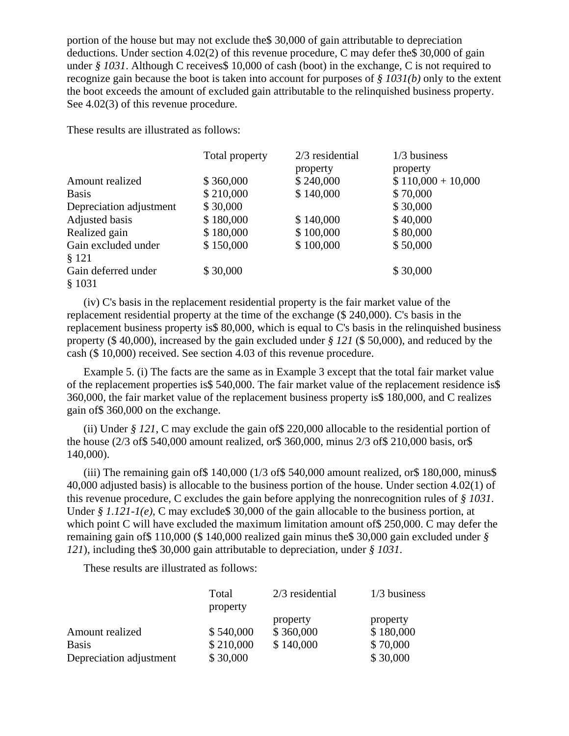portion of the house but may not exclude the\$ 30,000 of gain attributable to depreciation deductions. Under section 4.02(2) of this revenue procedure, C may defer the\$ 30,000 of gain under *§ 1031*. Although C receives \$10,000 of cash (boot) in the exchange, C is not required to recognize gain because the boot is taken into account for purposes of *§ 1031(b)* only to the extent the boot exceeds the amount of excluded gain attributable to the relinquished business property. See 4.02(3) of this revenue procedure.

These results are illustrated as follows:

|                         | Total property | $2/3$ residential | $1/3$ business      |
|-------------------------|----------------|-------------------|---------------------|
|                         |                | property          | property            |
| Amount realized         | \$360,000      | \$240,000         | $$110,000 + 10,000$ |
| <b>Basis</b>            | \$210,000      | \$140,000         | \$70,000            |
| Depreciation adjustment | \$30,000       |                   | \$30,000            |
| Adjusted basis          | \$180,000      | \$140,000         | \$40,000            |
| Realized gain           | \$180,000      | \$100,000         | \$80,000            |
| Gain excluded under     | \$150,000      | \$100,000         | \$50,000            |
| § 121                   |                |                   |                     |
| Gain deferred under     | \$30,000       |                   | \$30,000            |
| \$1031                  |                |                   |                     |

(iv) C's basis in the replacement residential property is the fair market value of the replacement residential property at the time of the exchange (\$ 240,000). C's basis in the replacement business property is\$ 80,000, which is equal to C's basis in the relinquished business property (\$ 40,000), increased by the gain excluded under *§ 121* (\$ 50,000), and reduced by the cash (\$ 10,000) received. See section 4.03 of this revenue procedure.

Example 5. (i) The facts are the same as in Example 3 except that the total fair market value of the replacement properties is\$ 540,000. The fair market value of the replacement residence is\$ 360,000, the fair market value of the replacement business property is\$ 180,000, and C realizes gain of\$ 360,000 on the exchange.

(ii) Under *§ 121*, C may exclude the gain of\$ 220,000 allocable to the residential portion of the house (2/3 of\$ 540,000 amount realized, or\$ 360,000, minus 2/3 of\$ 210,000 basis, or\$ 140,000).

(iii) The remaining gain of  $$140,000$  ( $1/3$  of  $$540,000$  amount realized, or  $$180,000$ , minus  $$$ 40,000 adjusted basis) is allocable to the business portion of the house. Under section 4.02(1) of this revenue procedure, C excludes the gain before applying the nonrecognition rules of *§ 1031*. Under *§ 1.121-1(e)*, C may exclude \$30,000 of the gain allocable to the business portion, at which point C will have excluded the maximum limitation amount of \$250,000. C may defer the remaining gain of\$ 110,000 (\$ 140,000 realized gain minus the\$ 30,000 gain excluded under *§ 121*), including the\$ 30,000 gain attributable to depreciation, under *§ 1031*.

These results are illustrated as follows:

|                         | Total     | $2/3$ residential | $1/3$ business |
|-------------------------|-----------|-------------------|----------------|
|                         | property  |                   |                |
|                         |           | property          | property       |
| Amount realized         | \$540,000 | \$360,000         | \$180,000      |
| <b>Basis</b>            | \$210,000 | \$140,000         | \$70,000       |
| Depreciation adjustment | \$30,000  |                   | \$30,000       |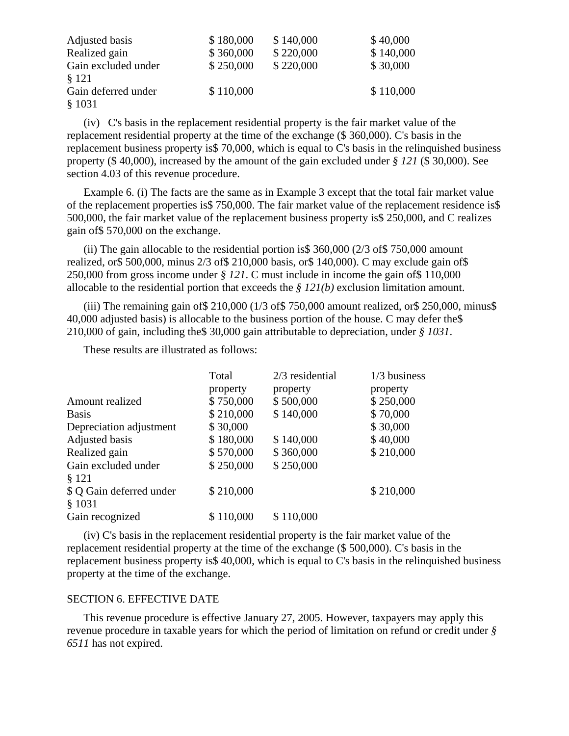| Adjusted basis      | \$180,000 | \$140,000 | \$40,000  |
|---------------------|-----------|-----------|-----------|
| Realized gain       | \$360,000 | \$220,000 | \$140,000 |
| Gain excluded under | \$250,000 | \$220,000 | \$30,000  |
| \$121               |           |           |           |
| Gain deferred under | \$110,000 |           | \$110,000 |
| \$1031              |           |           |           |

(iv) C's basis in the replacement residential property is the fair market value of the replacement residential property at the time of the exchange (\$ 360,000). C's basis in the replacement business property is\$ 70,000, which is equal to C's basis in the relinquished business property (\$ 40,000), increased by the amount of the gain excluded under *§ 121* (\$ 30,000). See section 4.03 of this revenue procedure.

Example 6. (i) The facts are the same as in Example 3 except that the total fair market value of the replacement properties is\$ 750,000. The fair market value of the replacement residence is\$ 500,000, the fair market value of the replacement business property is\$ 250,000, and C realizes gain of\$ 570,000 on the exchange.

(ii) The gain allocable to the residential portion is \$360,000 ( $2/3$  of \$750,000 amount realized, or\$ 500,000, minus 2/3 of\$ 210,000 basis, or\$ 140,000). C may exclude gain of\$ 250,000 from gross income under *§ 121*. C must include in income the gain of\$ 110,000 allocable to the residential portion that exceeds the *§ 121(b)* exclusion limitation amount.

(iii) The remaining gain of  $$210,000$  (1/3 of  $$750,000$  amount realized, or  $$250,000$ , minus  $$$ 40,000 adjusted basis) is allocable to the business portion of the house. C may defer the\$ 210,000 of gain, including the\$ 30,000 gain attributable to depreciation, under *§ 1031*.

These results are illustrated as follows:

|                                    | Total     | $2/3$ residential | $1/3$ business |
|------------------------------------|-----------|-------------------|----------------|
|                                    | property  | property          | property       |
| Amount realized                    | \$750,000 | \$500,000         | \$250,000      |
| <b>Basis</b>                       | \$210,000 | \$140,000         | \$70,000       |
| Depreciation adjustment            | \$30,000  |                   | \$30,000       |
| Adjusted basis                     | \$180,000 | \$140,000         | \$40,000       |
| Realized gain                      | \$570,000 | \$360,000         | \$210,000      |
| Gain excluded under<br>§ 121       | \$250,000 | \$250,000         |                |
| \$ Q Gain deferred under<br>\$1031 | \$210,000 |                   | \$210,000      |
| Gain recognized                    | \$110,000 | \$110,000         |                |

(iv) C's basis in the replacement residential property is the fair market value of the replacement residential property at the time of the exchange (\$ 500,000). C's basis in the replacement business property is\$ 40,000, which is equal to C's basis in the relinquished business property at the time of the exchange.

#### SECTION 6. EFFECTIVE DATE

This revenue procedure is effective January 27, 2005. However, taxpayers may apply this revenue procedure in taxable years for which the period of limitation on refund or credit under *§ 6511* has not expired.